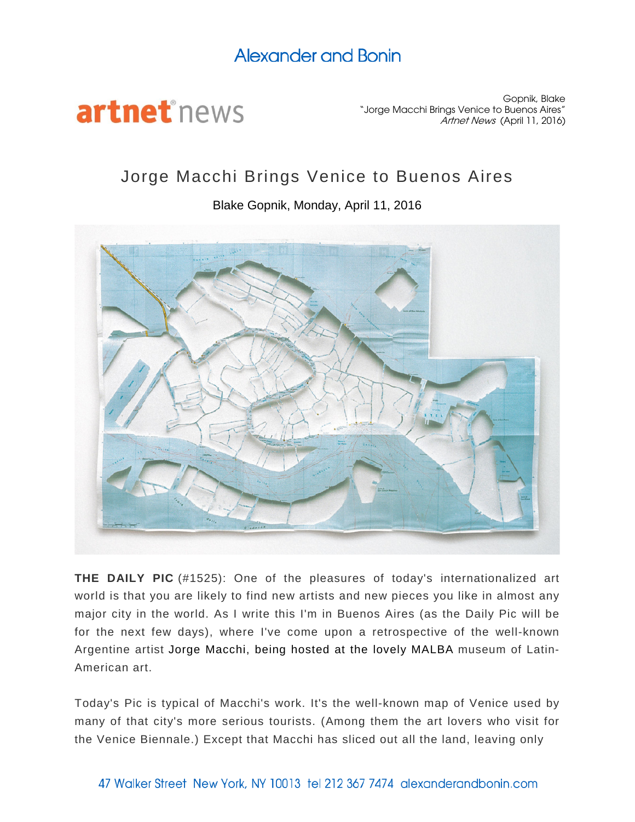## Alexander and Bonin



Gopnik, Blake "Jorge Macchi Brings Venice to Buenos Aires" Artnet News (April 11, 2016)

## Jorge Macchi Brings Venice to Buenos Aires

Blake Gopnik, Monday, April 11, 2016



**THE DAILY PIC** (#1525): One of the pleasures of today's internationalized art world is that you are likely to find new artists and new pieces you like in almost any major city in the world. As I write this I'm in Buenos Aires (as the Daily Pic will be for the next few days), where I've come upon a retrospective of the well-known Argentine artist [Jorge Macchi, being hosted at the lovely MALBA](http://www.malba.org.ar/en/eventos/de/exposiciones-2/) museum of Latin-American art.

Today's Pic is typical of Macchi's work. It's the well-known map of Venice used by many of that city's more serious tourists. (Among them the art lovers who visit for the Venice Biennale.) Except that Macchi has sliced out all the land, leaving only